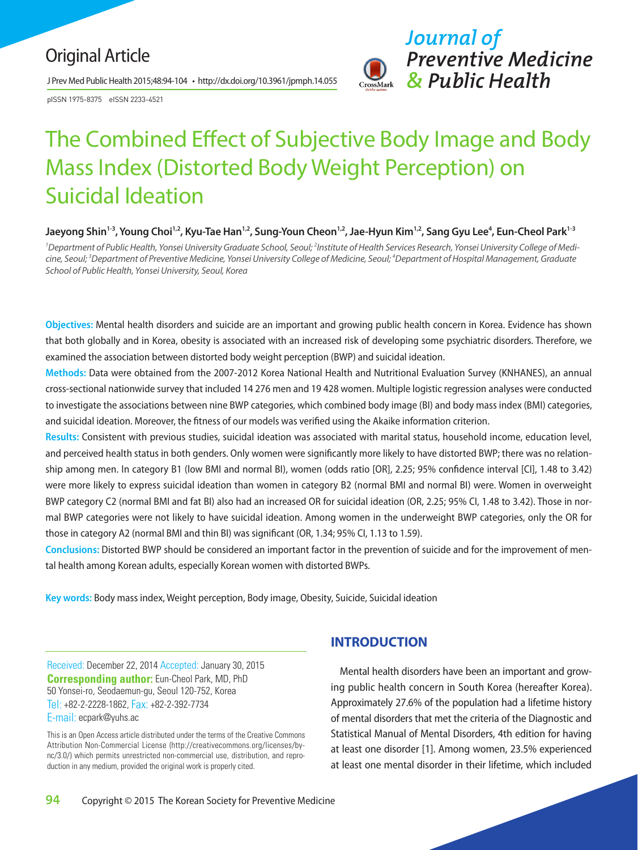## Original Article

J Prev Med Public Health 2015;48:94-104 • http://dx.doi.org/10.3961/jpmph.14.055

pISSN 1975-8375 eISSN 2233-4521



# The Combined Effect of Subjective Body Image and Body Mass Index (Distorted Body Weight Perception) on Suicidal Ideation

Jaeyong Shin<sup>1-3</sup>, Young Choi<sup>1,2</sup>, Kyu-Tae Han<sup>1,2</sup>, Sung-Youn Cheon<sup>1,2</sup>, Jae-Hyun Kim<sup>1,2</sup>, Sang Gyu Lee<sup>4</sup>, Eun-Cheol Park<sup>1-3</sup>

<sup>1</sup> Department of Public Health, Yonsei University Graduate School, Seoul; <sup>2</sup>Institute of Health Services Research, Yonsei University College of Medi*cine, Seoul; 3 Department of Preventive Medicine, Yonsei University College of Medicine, Seoul; 4 Department of Hospital Management, Graduate School of Public Health, Yonsei University, Seoul, Korea* 

**Objectives:** Mental health disorders and suicide are an important and growing public health concern in Korea. Evidence has shown that both globally and in Korea, obesity is associated with an increased risk of developing some psychiatric disorders. Therefore, we examined the association between distorted body weight perception (BWP) and suicidal ideation.

**Methods:** Data were obtained from the 2007-2012 Korea National Health and Nutritional Evaluation Survey (KNHANES), an annual cross-sectional nationwide survey that included 14 276 men and 19 428 women. Multiple logistic regression analyses were conducted to investigate the associations between nine BWP categories, which combined body image (BI) and body mass index (BMI) categories, and suicidal ideation. Moreover, the fitness of our models was verified using the Akaike information criterion.

**Results:** Consistent with previous studies, suicidal ideation was associated with marital status, household income, education level, and perceived health status in both genders. Only women were significantly more likely to have distorted BWP; there was no relationship among men. In category B1 (low BMI and normal BI), women (odds ratio [OR], 2.25; 95% confidence interval [CI], 1.48 to 3.42) were more likely to express suicidal ideation than women in category B2 (normal BMI and normal BI) were. Women in overweight BWP category C2 (normal BMI and fat BI) also had an increased OR for suicidal ideation (OR, 2.25; 95% CI, 1.48 to 3.42). Those in normal BWP categories were not likely to have suicidal ideation. Among women in the underweight BWP categories, only the OR for those in category A2 (normal BMI and thin BI) was significant (OR, 1.34; 95% CI, 1.13 to 1.59).

**Conclusions:** Distorted BWP should be considered an important factor in the prevention of suicide and for the improvement of mental health among Korean adults, especially Korean women with distorted BWPs.

**Key words:** Body mass index, Weight perception, Body image, Obesity, Suicide, Suicidal ideation

Received: December 22, 2014 Accepted: January 30, 2015 **Corresponding author:** Eun-Cheol Park, MD, PhD 50 Yonsei-ro, Seodaemun-gu, Seoul 120-752, Korea Tel: +82-2-2228-1862, Fax: +82-2-392-7734 E-mail: ecpark@yuhs.ac

This is an Open Access article distributed under the terms of the Creative Commons Attribution Non-Commercial License (http://creativecommons.org/licenses/bync/3.0/) which permits unrestricted non-commercial use, distribution, and reproduction in any medium, provided the original work is properly cited.

## **INTRODUCTION**

Mental health disorders have been an important and growing public health concern in South Korea (hereafter Korea). Approximately 27.6% of the population had a lifetime history of mental disorders that met the criteria of the Diagnostic and Statistical Manual of Mental Disorders, 4th edition for having at least one disorder [1]. Among women, 23.5% experienced at least one mental disorder in their lifetime, which included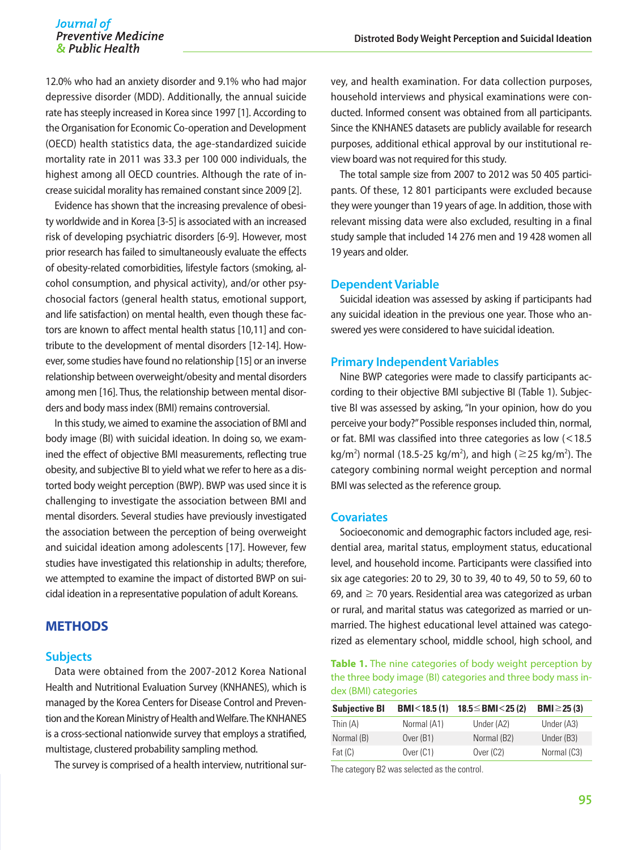12.0% who had an anxiety disorder and 9.1% who had major depressive disorder (MDD). Additionally, the annual suicide rate has steeply increased in Korea since 1997 [1]. According to the Organisation for Economic Co-operation and Development (OECD) health statistics data, the age-standardized suicide mortality rate in 2011 was 33.3 per 100 000 individuals, the highest among all OECD countries. Although the rate of increase suicidal morality has remained constant since 2009 [2].

Evidence has shown that the increasing prevalence of obesity worldwide and in Korea [3-5] is associated with an increased risk of developing psychiatric disorders [6-9]. However, most prior research has failed to simultaneously evaluate the effects of obesity-related comorbidities, lifestyle factors (smoking, alcohol consumption, and physical activity), and/or other psychosocial factors (general health status, emotional support, and life satisfaction) on mental health, even though these factors are known to affect mental health status [10,11] and contribute to the development of mental disorders [12-14]. However, some studies have found no relationship [15] or an inverse relationship between overweight/obesity and mental disorders among men [16]. Thus, the relationship between mental disorders and body mass index (BMI) remains controversial.

In this study, we aimed to examine the association of BMI and body image (BI) with suicidal ideation. In doing so, we examined the effect of objective BMI measurements, reflecting true obesity, and subjective BI to yield what we refer to here as a distorted body weight perception (BWP). BWP was used since it is challenging to investigate the association between BMI and mental disorders. Several studies have previously investigated the association between the perception of being overweight and suicidal ideation among adolescents [17]. However, few studies have investigated this relationship in adults; therefore, we attempted to examine the impact of distorted BWP on suicidal ideation in a representative population of adult Koreans.

## **METHODS**

#### **Subjects**

Data were obtained from the 2007-2012 Korea National Health and Nutritional Evaluation Survey (KNHANES), which is managed by the Korea Centers for Disease Control and Prevention and the Korean Ministry of Health and Welfare. The KNHANES is a cross-sectional nationwide survey that employs a stratified, multistage, clustered probability sampling method.

The survey is comprised of a health interview, nutritional sur-

vey, and health examination. For data collection purposes, household interviews and physical examinations were conducted. Informed consent was obtained from all participants. Since the KNHANES datasets are publicly available for research purposes, additional ethical approval by our institutional review board was not required for this study.

The total sample size from 2007 to 2012 was 50 405 participants. Of these, 12 801 participants were excluded because they were younger than 19 years of age. In addition, those with relevant missing data were also excluded, resulting in a final study sample that included 14 276 men and 19 428 women all 19 years and older.

#### **Dependent Variable**

Suicidal ideation was assessed by asking if participants had any suicidal ideation in the previous one year. Those who answered yes were considered to have suicidal ideation.

#### **Primary Independent Variables**

Nine BWP categories were made to classify participants according to their objective BMI subjective BI (Table 1). Subjective BI was assessed by asking, "In your opinion, how do you perceive your body?" Possible responses included thin, normal, or fat. BMI was classified into three categories as low (<18.5  $kg/m<sup>2</sup>$ ) normal (18.5-25 kg/m<sup>2</sup>), and high ( $\geq$ 25 kg/m<sup>2</sup>). The category combining normal weight perception and normal BMI was selected as the reference group.

#### **Covariates**

Socioeconomic and demographic factors included age, residential area, marital status, employment status, educational level, and household income. Participants were classified into six age categories: 20 to 29, 30 to 39, 40 to 49, 50 to 59, 60 to 69, and  $\geq$  70 years. Residential area was categorized as urban or rural, and marital status was categorized as married or unmarried. The highest educational level attained was categorized as elementary school, middle school, high school, and

**Table 1.** The nine categories of body weight perception by the three body image (BI) categories and three body mass index (BMI) categories

| <b>Subjective BI</b> | BMI < 18.5(1) | $18.5 \leq$ BMI $<$ 25 (2) | <b>BMI</b> $\geq$ 25 (3) |
|----------------------|---------------|----------------------------|--------------------------|
| Thin (A)             | Normal (A1)   | Under (A2)                 | Under (A3)               |
| Normal (B)           | Over $(B1)$   | Normal (B2)                | Under (B3)               |
| Fat $(C)$            | Over $(C1)$   | Over $(C2)$                | Normal (C3)              |
|                      |               |                            |                          |

The category B2 was selected as the control.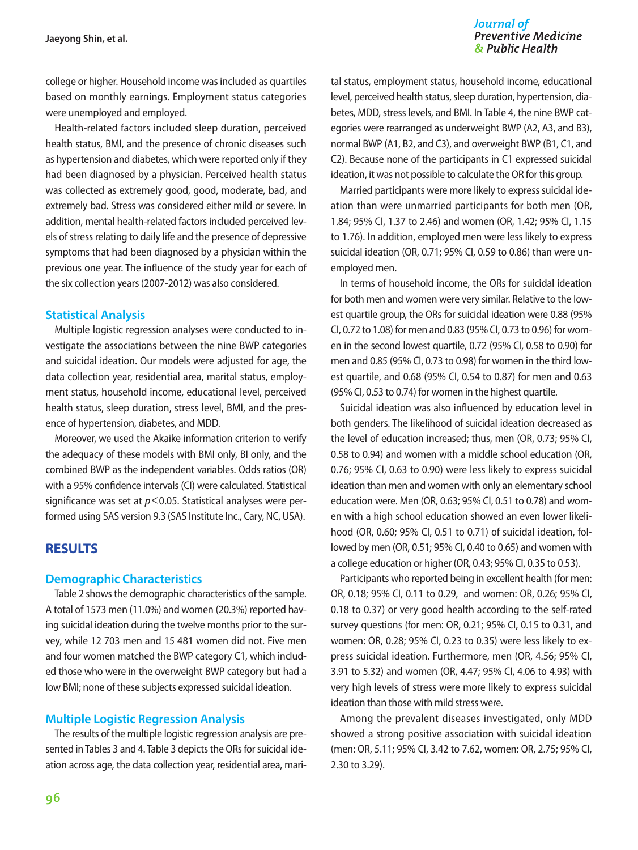#### Journal of **Preventive Medicine** & Public Health

college or higher. Household income was included as quartiles based on monthly earnings. Employment status categories were unemployed and employed.

Health-related factors included sleep duration, perceived health status, BMI, and the presence of chronic diseases such as hypertension and diabetes, which were reported only if they had been diagnosed by a physician. Perceived health status was collected as extremely good, good, moderate, bad, and extremely bad. Stress was considered either mild or severe. In addition, mental health-related factors included perceived levels of stress relating to daily life and the presence of depressive symptoms that had been diagnosed by a physician within the previous one year. The influence of the study year for each of the six collection years (2007-2012) was also considered.

#### **Statistical Analysis**

Multiple logistic regression analyses were conducted to investigate the associations between the nine BWP categories and suicidal ideation. Our models were adjusted for age, the data collection year, residential area, marital status, employment status, household income, educational level, perceived health status, sleep duration, stress level, BMI, and the presence of hypertension, diabetes, and MDD.

Moreover, we used the Akaike information criterion to verify the adequacy of these models with BMI only, BI only, and the combined BWP as the independent variables. Odds ratios (OR) with a 95% confidence intervals (CI) were calculated. Statistical significance was set at *p*<0.05. Statistical analyses were performed using SAS version 9.3 (SAS Institute Inc., Cary, NC, USA).

### **RESULTS**

#### **Demographic Characteristics**

Table 2 shows the demographic characteristics of the sample. A total of 1573 men (11.0%) and women (20.3%) reported having suicidal ideation during the twelve months prior to the survey, while 12 703 men and 15 481 women did not. Five men and four women matched the BWP category C1, which included those who were in the overweight BWP category but had a low BMI; none of these subjects expressed suicidal ideation.

#### **Multiple Logistic Regression Analysis**

The results of the multiple logistic regression analysis are presented in Tables 3 and 4. Table 3 depicts the ORs for suicidal ideation across age, the data collection year, residential area, mari-

tal status, employment status, household income, educational level, perceived health status, sleep duration, hypertension, diabetes, MDD, stress levels, and BMI. In Table 4, the nine BWP categories were rearranged as underweight BWP (A2, A3, and B3), normal BWP (A1, B2, and C3), and overweight BWP (B1, C1, and C2). Because none of the participants in C1 expressed suicidal ideation, it was not possible to calculate the OR for this group.

Married participants were more likely to express suicidal ideation than were unmarried participants for both men (OR, 1.84; 95% CI, 1.37 to 2.46) and women (OR, 1.42; 95% CI, 1.15 to 1.76). In addition, employed men were less likely to express suicidal ideation (OR, 0.71; 95% CI, 0.59 to 0.86) than were unemployed men.

In terms of household income, the ORs for suicidal ideation for both men and women were very similar. Relative to the lowest quartile group, the ORs for suicidal ideation were 0.88 (95% CI, 0.72 to 1.08) for men and 0.83 (95% CI, 0.73 to 0.96) for women in the second lowest quartile, 0.72 (95% CI, 0.58 to 0.90) for men and 0.85 (95% CI, 0.73 to 0.98) for women in the third lowest quartile, and 0.68 (95% CI, 0.54 to 0.87) for men and 0.63 (95% CI, 0.53 to 0.74) for women in the highest quartile.

Suicidal ideation was also influenced by education level in both genders. The likelihood of suicidal ideation decreased as the level of education increased; thus, men (OR, 0.73; 95% CI, 0.58 to 0.94) and women with a middle school education (OR, 0.76; 95% CI, 0.63 to 0.90) were less likely to express suicidal ideation than men and women with only an elementary school education were. Men (OR, 0.63; 95% CI, 0.51 to 0.78) and women with a high school education showed an even lower likelihood (OR, 0.60; 95% CI, 0.51 to 0.71) of suicidal ideation, followed by men (OR, 0.51; 95% CI, 0.40 to 0.65) and women with a college education or higher (OR, 0.43; 95% CI, 0.35 to 0.53).

Participants who reported being in excellent health (for men: OR, 0.18; 95% CI, 0.11 to 0.29, and women: OR, 0.26; 95% CI, 0.18 to 0.37) or very good health according to the self-rated survey questions (for men: OR, 0.21; 95% CI, 0.15 to 0.31, and women: OR, 0.28; 95% CI, 0.23 to 0.35) were less likely to express suicidal ideation. Furthermore, men (OR, 4.56; 95% CI, 3.91 to 5.32) and women (OR, 4.47; 95% CI, 4.06 to 4.93) with very high levels of stress were more likely to express suicidal ideation than those with mild stress were.

Among the prevalent diseases investigated, only MDD showed a strong positive association with suicidal ideation (men: OR, 5.11; 95% CI, 3.42 to 7.62, women: OR, 2.75; 95% CI, 2.30 to 3.29).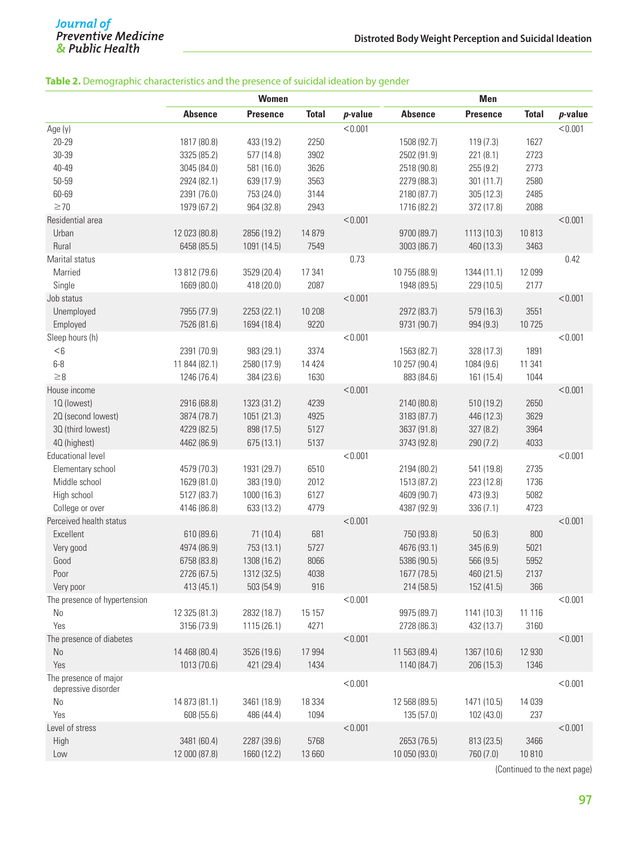#### **Table 2.** Demographic characteristics and the presence of suicidal ideation by gender

|                              | <b>Women</b>   |                 |              | Men        |                |                 |              |            |
|------------------------------|----------------|-----------------|--------------|------------|----------------|-----------------|--------------|------------|
|                              | <b>Absence</b> | <b>Presence</b> | <b>Total</b> | $p$ -value | <b>Absence</b> | <b>Presence</b> | <b>Total</b> | $p$ -value |
| Age (y)                      |                |                 |              | < 0.001    |                |                 |              | < 0.001    |
| 20-29                        | 1817 (80.8)    | 433 (19.2)      | 2250         |            | 1508 (92.7)    | 119(7.3)        | 1627         |            |
| 30-39                        | 3325 (85.2)    | 577 (14.8)      | 3902         |            | 2502 (91.9)    | 221 (8.1)       | 2723         |            |
| 40-49                        | 3045 (84.0)    | 581 (16.0)      | 3626         |            | 2518 (90.8)    | 255(9.2)        | 2773         |            |
| 50-59                        | 2924 (82.1)    | 639 (17.9)      | 3563         |            | 2279 (88.3)    | 301(11.7)       | 2580         |            |
| 60-69                        | 2391 (76.0)    | 753 (24.0)      | 3144         |            | 2180 (87.7)    | 305(12.3)       | 2485         |            |
| $\geq 70$                    | 1979 (67.2)    | 964 (32.8)      | 2943         |            | 1716 (82.2)    | 372 (17.8)      | 2088         |            |
| Residential area             |                |                 |              | < 0.001    |                |                 |              | < 0.001    |
| Urban                        | 12 023 (80.8)  | 2856 (19.2)     | 14 879       |            | 9700 (89.7)    | 1113 (10.3)     | 10813        |            |
| Rural                        | 6458 (85.5)    | 1091 (14.5)     | 7549         |            | 3003 (86.7)    | 460 (13.3)      | 3463         |            |
| Marital status               |                |                 |              | 0.73       |                |                 |              | 0.42       |
| Married                      | 13 812 (79.6)  | 3529 (20.4)     | 17 341       |            | 10 755 (88.9)  | 1344 (11.1)     | 12 099       |            |
| Single                       | 1669 (80.0)    | 418 (20.0)      | 2087         |            | 1948 (89.5)    | 229 (10.5)      | 2177         |            |
| Job status                   |                |                 |              | < 0.001    |                |                 |              | < 0.001    |
| Unemployed                   | 7955 (77.9)    | 2253 (22.1)     | 10 208       |            | 2972 (83.7)    | 579 (16.3)      | 3551         |            |
| Employed                     | 7526 (81.6)    | 1694 (18.4)     | 9220         |            | 9731 (90.7)    | 994 (9.3)       | 10725        |            |
| Sleep hours (h)              |                |                 |              | < 0.001    |                |                 |              | < 0.001    |
| $<\!6$                       | 2391 (70.9)    | 983 (29.1)      | 3374         |            | 1563 (82.7)    | 328 (17.3)      | 1891         |            |
| $6-8$                        | 11 844 (82.1)  | 2580 (17.9)     | 14 4 24      |            | 10 257 (90.4)  | 1084 (9.6)      | 11 341       |            |
| $\geq 8$                     | 1246 (76.4)    | 384 (23.6)      | 1630         |            | 883 (84.6)     | 161 (15.4)      | 1044         |            |
| House income                 |                |                 |              | < 0.001    |                |                 |              | < 0.001    |
| 10 (lowest)                  | 2916 (68.8)    | 1323 (31.2)     | 4239         |            | 2140 (80.8)    | 510 (19.2)      | 2650         |            |
| 20 (second lowest)           | 3874 (78.7)    | 1051 (21.3)     | 4925         |            | 3183 (87.7)    | 446 (12.3)      | 3629         |            |
| 30 (third lowest)            | 4229 (82.5)    | 898 (17.5)      | 5127         |            | 3637 (91.8)    | 327 (8.2)       | 3964         |            |
| 40 (highest)                 | 4462 (86.9)    | 675(13.1)       | 5137         |            | 3743 (92.8)    | 290 (7.2)       | 4033         |            |
| <b>Educational level</b>     |                |                 |              | < 0.001    |                |                 |              | < 0.001    |
| Elementary school            | 4579 (70.3)    | 1931 (29.7)     | 6510         |            | 2194 (80.2)    | 541 (19.8)      | 2735         |            |
| Middle school                | 1629 (81.0)    | 383 (19.0)      | 2012         |            | 1513 (87.2)    | 223 (12.8)      | 1736         |            |
| High school                  | 5127 (83.7)    | 1000 (16.3)     | 6127         |            | 4609 (90.7)    | 473 (9.3)       | 5082         |            |
| College or over              | 4146 (86.8)    | 633 (13.2)      | 4779         |            | 4387 (92.9)    | 336(7.1)        | 4723         |            |
| Perceived health status      |                |                 |              | < 0.001    |                |                 |              | < 0.001    |
| Excellent                    | 610 (89.6)     | 71(10.4)        | 681          |            | 750 (93.8)     | 50(6.3)         | 800          |            |
| Very good                    | 4974 (86.9)    | 753 (13.1)      | 5727         |            | 4676 (93.1)    | 345 (6.9)       | 5021         |            |
| Good                         | 6758 (83.8)    | 1308 (16.2)     | 8066         |            | 5386 (90.5)    | 566 (9.5)       | 5952         |            |
| Poor                         | 2726 (67.5)    | 1312 (32.5)     | 4038         |            | 1677 (78.5)    | 460 (21.5)      | 2137         |            |
| Very poor                    | 413 (45.1)     | 503 (54.9)      | 916          |            | 214(58.5)      | 152 (41.5)      | 366          |            |
| The presence of hypertension |                |                 |              | < 0.001    |                |                 |              | < 0.001    |
| $\rm No$                     | 12 325 (81.3)  | 2832 (18.7)     | 15 157       |            | 9975 (89.7)    | 1141 (10.3)     | 11 116       |            |
| Yes                          | 3156 (73.9)    | 1115 (26.1)     | 4271         |            | 2728 (86.3)    | 432 (13.7)      | 3160         |            |
| The presence of diabetes     |                |                 |              | < 0.001    |                |                 |              | < 0.001    |
| N <sub>o</sub>               | 14 468 (80.4)  | 3526 (19.6)     | 17 994       |            | 11 563 (89.4)  | 1367 (10.6)     | 12 930       |            |
| Yes                          | 1013 (70.6)    | 421 (29.4)      | 1434         |            | 1140 (84.7)    | 206 (15.3)      | 1346         |            |
| The presence of major        |                |                 |              |            |                |                 |              |            |
| depressive disorder          |                |                 |              | < 0.001    |                |                 |              | < 0.001    |
| $\rm No$                     | 14 873 (81.1)  | 3461 (18.9)     | 18 3 34      |            | 12 568 (89.5)  | 1471 (10.5)     | 14 0 39      |            |
| Yes                          | 608 (55.6)     | 486 (44.4)      | 1094         |            | 135 (57.0)     | 102(43.0)       | 237          |            |
| Level of stress              |                |                 |              | < 0.001    |                |                 |              | < 0.001    |
| High                         | 3481 (60.4)    | 2287 (39.6)     | 5768         |            | 2653 (76.5)    | 813 (23.5)      | 3466         |            |
| Low                          | 12 000 (87.8)  | 1660 (12.2)     | 13 660       |            | 10 050 (93.0)  | 760 (7.0)       | 10810        |            |
|                              |                |                 |              |            |                |                 |              |            |

(Continued to the next page)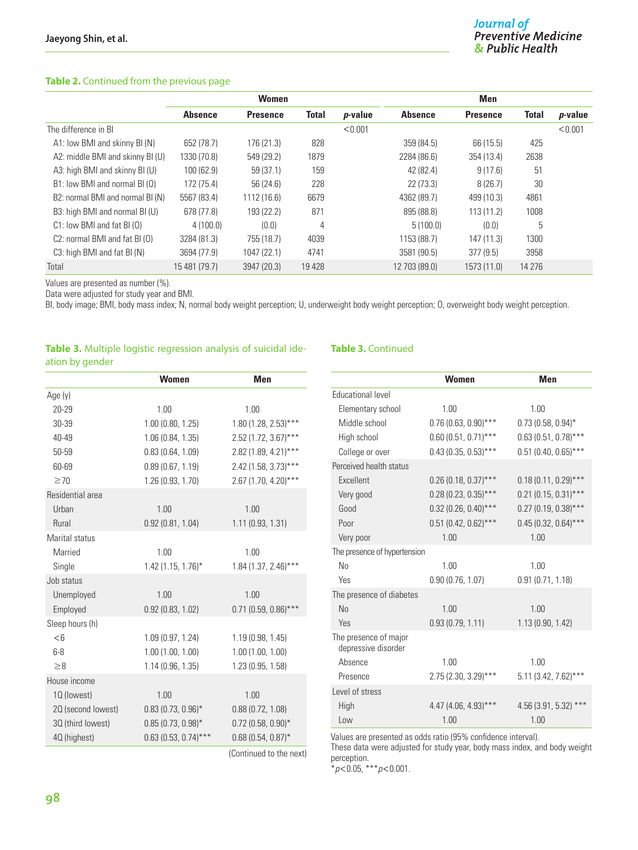#### **Table 2.** Continued from the previous page

|                                            | <b>Women</b>   |                 |              | <b>Men</b> |                |                 |              |                 |
|--------------------------------------------|----------------|-----------------|--------------|------------|----------------|-----------------|--------------|-----------------|
|                                            | <b>Absence</b> | <b>Presence</b> | <b>Total</b> | $p$ -value | <b>Absence</b> | <b>Presence</b> | <b>Total</b> | <i>p</i> -value |
| The difference in BI                       |                |                 |              | < 0.001    |                |                 |              | < 0.001         |
| A1: low BMI and skinny BI (N)              | 652 (78.7)     | 176 (21.3)      | 828          |            | 359 (84.5)     | 66 (15.5)       | 425          |                 |
| A2: middle BMI and skinny BI (U)           | 1330 (70.8)    | 549 (29.2)      | 1879         |            | 2284 (86.6)    | 354 (13.4)      | 2638         |                 |
| A3: high BMI and skinny BI (U)             | 100 (62.9)     | 59 (37.1)       | 159          |            | 42 (82.4)      | 9(17.6)         | 51           |                 |
| B1: low BMI and normal BI (0)              | 172 (75.4)     | 56 (24.6)       | 228          |            | 22 (73.3)      | 8(26.7)         | 30           |                 |
| B2: normal BMI and normal BI (N)           | 5567 (83.4)    | 1112 (16.6)     | 6679         |            | 4362 (89.7)    | 499 (10.3)      | 4861         |                 |
| B3: high BMI and normal BI (U)             | 678 (77.8)     | 193 (22.2)      | 871          |            | 895 (88.8)     | 113(11.2)       | 1008         |                 |
| $C1$ : low BMI and fat BI $(0)$            | 4(100.0)       | (0.0)           | 4            |            | 5(100.0)       | (0.0)           | 5            |                 |
| C <sub>2</sub> : normal BMI and fat BI (0) | 3284 (81.3)    | 755 (18.7)      | 4039         |            | 1153 (88.7)    | 147(11.3)       | 1300         |                 |
| C3: high BMI and fat BI (N)                | 3694 (77.9)    | 1047 (22.1)     | 4741         |            | 3581 (90.5)    | 377(9.5)        | 3958         |                 |
| Total                                      | 15 481 (79.7)  | 3947 (20.3)     | 19 4 28      |            | 12 703 (89.0)  | 1573 (11.0)     | 14 276       |                 |

Values are presented as number (%).

Data were adjusted for study year and BMI.

BI, body image; BMI, body mass index; N, normal body weight perception; U, underweight body weight perception; O, overweight body weight perception.

#### **Table 3.** Multiple logistic regression analysis of suicidal ideation by gender

|                    | <b>Women</b>           | <b>Men</b>              |
|--------------------|------------------------|-------------------------|
| Age (y)            |                        |                         |
| 20-29              | 1.00                   | 1.00                    |
| 30-39              | 1.00(0.80, 1.25)       | 1.80 (1.28, 2.53)***    |
| $40 - 49$          | 1.06 (0.84, 1.35)      | 2.52 (1.72, 3.67)***    |
| 50-59              | 0.83(0.64, 1.09)       | 2.82 (1.89, 4.21)***    |
| 60-69              | 0.89(0.67, 1.19)       | 2.42 (1.58, 3.73)***    |
| $\geq 70$          | 1.26 (0.93, 1.70)      | 2.67 (1.70, 4.20)***    |
| Residential area   |                        |                         |
| Urban              | 1.00                   | 1.00                    |
| Rural              | 0.92(0.81, 1.04)       | 1.11(0.93, 1.31)        |
| Marital status     |                        |                         |
| Married            | 1.00                   | 1.00                    |
| Single             | $1.42(1.15, 1.76)^{*}$ | $1.84(1.37, 2.46)$ ***  |
| Job status         |                        |                         |
| Unemployed         | 1.00                   | 1.00                    |
| Employed           | 0.92(0.83, 1.02)       | $0.71$ (0.59, 0.86)***  |
| Sleep hours (h)    |                        |                         |
| $<$ 6              | 1.09(0.97, 1.24)       | 1.19(0.98, 1.45)        |
| $6-8$              | 1.00(1.00, 1.00)       | 1.00(1.00, 1.00)        |
| $\geq 8$           | 1.14(0.96, 1.35)       | 1.23 (0.95, 1.58)       |
| House income       |                        |                         |
| 10 (lowest)        | 1.00                   | 1.00                    |
| 20 (second lowest) | $0.83(0.73, 0.96)$ *   | 0.88(0.72, 1.08)        |
| 30 (third lowest)  | $0.85(0.73, 0.98)$ *   | $0.72$ (0.58, 0.90)*    |
| 40 (highest)       | $0.63(0.53, 0.74)$ *** | $0.68(0.54, 0.87)$ *    |
|                    |                        | (Continued to the next) |

#### **Table 3.** Continued

|                                              | <b>Women</b>           | <b>Men</b>              |
|----------------------------------------------|------------------------|-------------------------|
| Educational level                            |                        |                         |
| Elementary school                            | 1.00                   | 1.00                    |
| Middle school                                | $0.76(0.63, 0.90)$ *** | $0.73(0.58, 0.94)$ *    |
| High school                                  | $0.60(0.51, 0.71)$ *** | $0.63(0.51, 0.78)$ ***  |
| College or over                              | $0.43(0.35, 0.53)$ *** | $0.51$ (0.40, 0.65)***  |
| Perceived health status                      |                        |                         |
| <b>Fxcellent</b>                             | $0.26$ (0.18, 0.37)*** | $0.18(0.11, 0.29)$ ***  |
| Very good                                    | $0.28(0.23, 0.35)$ *** | $0.21$ (0.15, 0.31)***  |
| Good                                         | $0.32$ (0.26, 0.40)*** | $0.27$ (0.19, 0.38)***  |
| Poor                                         | $0.51$ (0.42, 0.62)*** | $0.45(0.32, 0.64)$ ***  |
| Very poor                                    | 1.00                   | 1.00                    |
| The presence of hypertension                 |                        |                         |
| No                                           | 1.00                   | 1.00                    |
| Yes                                          | 0.90(0.76, 1.07)       | 0.91(0.71, 1.18)        |
| The presence of diabetes                     |                        |                         |
| N <sub>0</sub>                               | 1.00                   | 1.00                    |
| Yes                                          | 0.93(0.79, 1.11)       | 1.13(0.90, 1.42)        |
| The presence of major<br>depressive disorder |                        |                         |
| Absence                                      | 1.00                   | 1 <sub>00</sub>         |
| Presence                                     | $2.75(2.30, 3.29)$ *** | $5.11(3.42, 7.62)$ ***  |
| Level of stress                              |                        |                         |
| High                                         | $4.47(4.06, 4.93)$ *** | $4.56$ (3.91, 5.32) *** |
| Low                                          | 1.00                   | 1.00                    |

Values are presented as odds ratio (95% confidence interval).

These data were adjusted for study year, body mass index, and body weight perception.

\**p*<0.05, \*\*\**p*<0.001.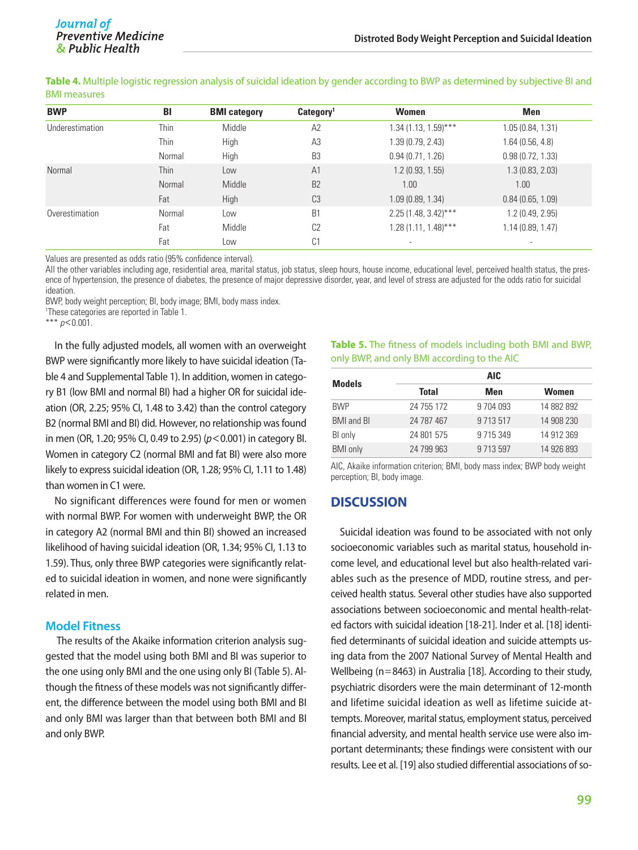**Table 4.** Multiple logistic regression analysis of suicidal ideation by gender according to BWP as determined by subjective BI and BMI measures

| <b>BWP</b>      | BI     | <b>BMI</b> category | Category <sup>1</sup> | <b>Women</b>           | <b>Men</b>               |
|-----------------|--------|---------------------|-----------------------|------------------------|--------------------------|
| Underestimation | Thin   | Middle              | A2                    | $1.34(1.13, 1.59)$ *** | 1.05(0.84, 1.31)         |
|                 | Thin   | High                | A <sub>3</sub>        | 1.39(0.79, 2.43)       | 1.64(0.56, 4.8)          |
|                 | Normal | High                | B <sub>3</sub>        | 0.94(0.71, 1.26)       | 0.98(0.72, 1.33)         |
| Normal          | Thin   | Low                 | A <sub>1</sub>        | 1.2(0.93, 1.55)        | 1.3(0.83, 2.03)          |
|                 | Normal | Middle              | B <sub>2</sub>        | 1.00                   | 1.00                     |
|                 | Fat    | <b>High</b>         | C <sub>3</sub>        | 1.09(0.89, 1.34)       | 0.84(0.65, 1.09)         |
| Overestimation  | Normal | Low                 | B <sub>1</sub>        | $2.25(1.48, 3.42)$ *** | 1.2(0.49, 2.95)          |
|                 | Fat    | Middle              | C <sub>2</sub>        | $1.28(1.11, 1.48)$ *** | 1.14(0.89, 1.47)         |
|                 | Fat    | Low                 | C <sub>1</sub>        |                        | $\overline{\phantom{a}}$ |

Values are presented as odds ratio (95% confidence interval).

All the other variables including age, residential area, marital status, job status, sleep hours, house income, educational level, perceived health status, the presence of hypertension, the presence of diabetes, the presence of major depressive disorder, year, and level of stress are adjusted for the odds ratio for suicidal ideation.

BWP, body weight perception; BI, body image; BMI, body mass index.

1 These categories are reported in Table 1.

\*\*\* *p*<0.001.

In the fully adjusted models, all women with an overweight BWP were significantly more likely to have suicidal ideation (Table 4 and Supplemental Table 1). In addition, women in category B1 (low BMI and normal BI) had a higher OR for suicidal ideation (OR, 2.25; 95% CI, 1.48 to 3.42) than the control category B2 (normal BMI and BI) did. However, no relationship was found in men (OR, 1.20; 95% CI, 0.49 to 2.95) (*p*<0.001) in category BI. Women in category C2 (normal BMI and fat BI) were also more likely to express suicidal ideation (OR, 1.28; 95% CI, 1.11 to 1.48) than women in C1 were.

No significant differences were found for men or women with normal BWP. For women with underweight BWP, the OR in category A2 (normal BMI and thin BI) showed an increased likelihood of having suicidal ideation (OR, 1.34; 95% CI, 1.13 to 1.59). Thus, only three BWP categories were significantly related to suicidal ideation in women, and none were significantly related in men.

#### **Model Fitness**

 The results of the Akaike information criterion analysis suggested that the model using both BMI and BI was superior to the one using only BMI and the one using only BI (Table 5). Although the fitness of these models was not significantly different, the difference between the model using both BMI and BI and only BMI was larger than that between both BMI and BI and only BWP.

#### **Table 5.** The fitness of models including both BMI and BWP, only BWP, and only BMI according to the AIC

| <b>Models</b>            | <b>AIC</b>   |               |              |  |  |
|--------------------------|--------------|---------------|--------------|--|--|
|                          | <b>Total</b> | Men           | <b>Women</b> |  |  |
| <b>BWP</b>               | 24 755 172   | 9 7 0 4 0 9 3 | 14 882 892   |  |  |
| <b>BMI</b> and <b>BI</b> | 24 787 467   | 9 7 1 3 5 1 7 | 14 908 230   |  |  |
| BI only                  | 24 801 575   | 9 7 1 5 3 4 9 | 14 912 369   |  |  |
| <b>BMI</b> only          | 24 799 963   | 9 7 1 3 5 9 7 | 14 926 893   |  |  |

AIC, Akaike information criterion; BMI, body mass index; BWP body weight perception; BI, body image.

## **DISCUSSION**

Suicidal ideation was found to be associated with not only socioeconomic variables such as marital status, household income level, and educational level but also health-related variables such as the presence of MDD, routine stress, and perceived health status. Several other studies have also supported associations between socioeconomic and mental health-related factors with suicidal ideation [18-21]. Inder et al. [18] identified determinants of suicidal ideation and suicide attempts using data from the 2007 National Survey of Mental Health and Wellbeing (n=8463) in Australia [18]. According to their study, psychiatric disorders were the main determinant of 12-month and lifetime suicidal ideation as well as lifetime suicide attempts. Moreover, marital status, employment status, perceived financial adversity, and mental health service use were also important determinants; these findings were consistent with our results. Lee et al. [19] also studied differential associations of so-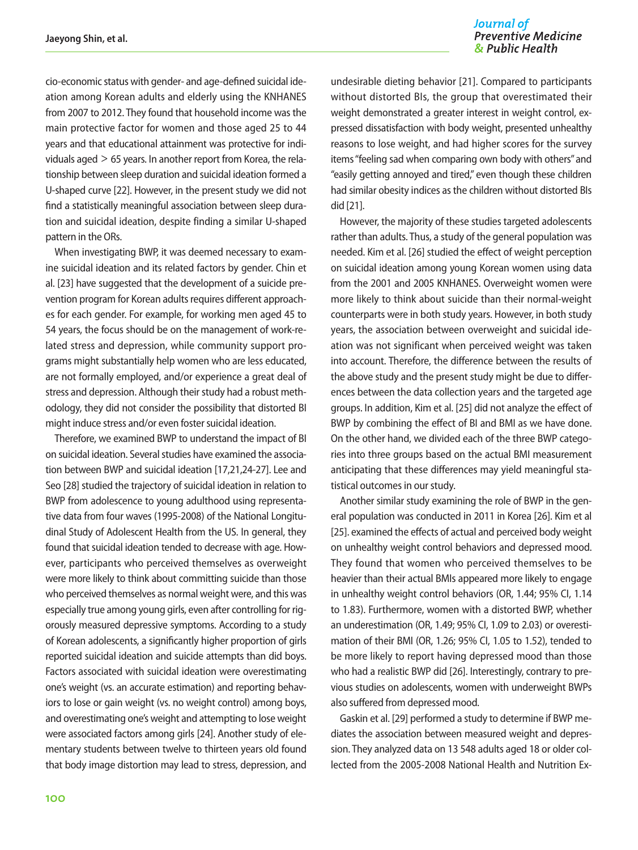#### Journal of **Preventive Medicine** & Public Health

cio-economic status with gender- and age-defined suicidal ideation among Korean adults and elderly using the KNHANES from 2007 to 2012. They found that household income was the main protective factor for women and those aged 25 to 44 years and that educational attainment was protective for individuals aged > 65 years. In another report from Korea, the relationship between sleep duration and suicidal ideation formed a U-shaped curve [22]. However, in the present study we did not find a statistically meaningful association between sleep duration and suicidal ideation, despite finding a similar U-shaped pattern in the ORs.

When investigating BWP, it was deemed necessary to examine suicidal ideation and its related factors by gender. Chin et al. [23] have suggested that the development of a suicide prevention program for Korean adults requires different approaches for each gender. For example, for working men aged 45 to 54 years, the focus should be on the management of work-related stress and depression, while community support programs might substantially help women who are less educated, are not formally employed, and/or experience a great deal of stress and depression. Although their study had a robust methodology, they did not consider the possibility that distorted BI might induce stress and/or even foster suicidal ideation.

Therefore, we examined BWP to understand the impact of BI on suicidal ideation. Several studies have examined the association between BWP and suicidal ideation [17,21,24-27]. Lee and Seo [28] studied the trajectory of suicidal ideation in relation to BWP from adolescence to young adulthood using representative data from four waves (1995-2008) of the National Longitudinal Study of Adolescent Health from the US. In general, they found that suicidal ideation tended to decrease with age. However, participants who perceived themselves as overweight were more likely to think about committing suicide than those who perceived themselves as normal weight were, and this was especially true among young girls, even after controlling for rigorously measured depressive symptoms. According to a study of Korean adolescents, a significantly higher proportion of girls reported suicidal ideation and suicide attempts than did boys. Factors associated with suicidal ideation were overestimating one's weight (vs. an accurate estimation) and reporting behaviors to lose or gain weight (vs. no weight control) among boys, and overestimating one's weight and attempting to lose weight were associated factors among girls [24]. Another study of elementary students between twelve to thirteen years old found that body image distortion may lead to stress, depression, and

undesirable dieting behavior [21]. Compared to participants without distorted BIs, the group that overestimated their weight demonstrated a greater interest in weight control, expressed dissatisfaction with body weight, presented unhealthy reasons to lose weight, and had higher scores for the survey items "feeling sad when comparing own body with others" and "easily getting annoyed and tired," even though these children had similar obesity indices as the children without distorted BIs did [21].

However, the majority of these studies targeted adolescents rather than adults. Thus, a study of the general population was needed. Kim et al. [26] studied the effect of weight perception on suicidal ideation among young Korean women using data from the 2001 and 2005 KNHANES. Overweight women were more likely to think about suicide than their normal-weight counterparts were in both study years. However, in both study years, the association between overweight and suicidal ideation was not significant when perceived weight was taken into account. Therefore, the difference between the results of the above study and the present study might be due to differences between the data collection years and the targeted age groups. In addition, Kim et al. [25] did not analyze the effect of BWP by combining the effect of BI and BMI as we have done. On the other hand, we divided each of the three BWP categories into three groups based on the actual BMI measurement anticipating that these differences may yield meaningful statistical outcomes in our study.

Another similar study examining the role of BWP in the general population was conducted in 2011 in Korea [26]. Kim et al [25]. examined the effects of actual and perceived body weight on unhealthy weight control behaviors and depressed mood. They found that women who perceived themselves to be heavier than their actual BMIs appeared more likely to engage in unhealthy weight control behaviors (OR, 1.44; 95% CI, 1.14 to 1.83). Furthermore, women with a distorted BWP, whether an underestimation (OR, 1.49; 95% CI, 1.09 to 2.03) or overestimation of their BMI (OR, 1.26; 95% CI, 1.05 to 1.52), tended to be more likely to report having depressed mood than those who had a realistic BWP did [26]. Interestingly, contrary to previous studies on adolescents, women with underweight BWPs also suffered from depressed mood.

Gaskin et al. [29] performed a study to determine if BWP mediates the association between measured weight and depression. They analyzed data on 13 548 adults aged 18 or older collected from the 2005-2008 National Health and Nutrition Ex-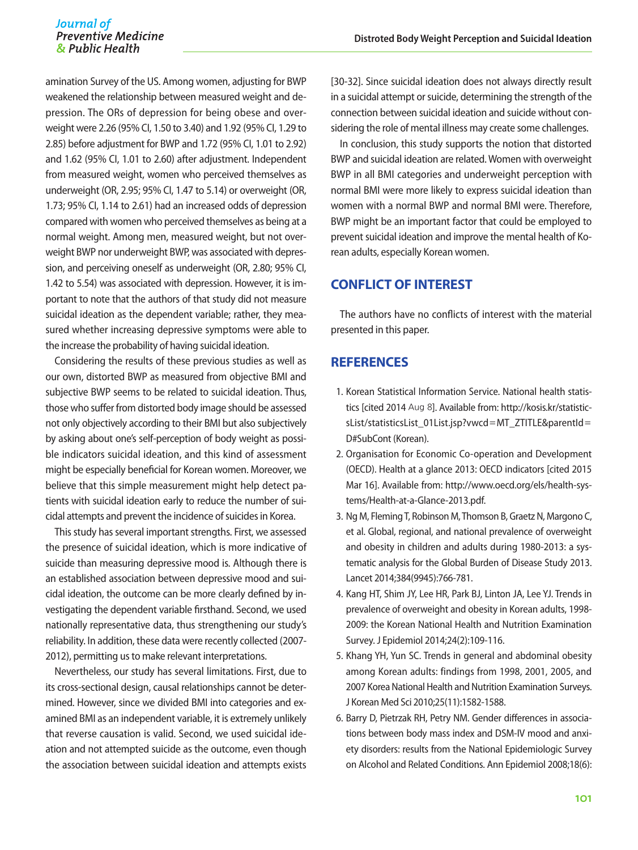amination Survey of the US. Among women, adjusting for BWP weakened the relationship between measured weight and depression. The ORs of depression for being obese and overweight were 2.26 (95% CI, 1.50 to 3.40) and 1.92 (95% CI, 1.29 to 2.85) before adjustment for BWP and 1.72 (95% CI, 1.01 to 2.92) and 1.62 (95% CI, 1.01 to 2.60) after adjustment. Independent from measured weight, women who perceived themselves as underweight (OR, 2.95; 95% CI, 1.47 to 5.14) or overweight (OR, 1.73; 95% CI, 1.14 to 2.61) had an increased odds of depression compared with women who perceived themselves as being at a normal weight. Among men, measured weight, but not overweight BWP nor underweight BWP, was associated with depression, and perceiving oneself as underweight (OR, 2.80; 95% CI, 1.42 to 5.54) was associated with depression. However, it is important to note that the authors of that study did not measure suicidal ideation as the dependent variable; rather, they measured whether increasing depressive symptoms were able to the increase the probability of having suicidal ideation.

Considering the results of these previous studies as well as our own, distorted BWP as measured from objective BMI and subjective BWP seems to be related to suicidal ideation. Thus, those who suffer from distorted body image should be assessed not only objectively according to their BMI but also subjectively by asking about one's self-perception of body weight as possible indicators suicidal ideation, and this kind of assessment might be especially beneficial for Korean women. Moreover, we believe that this simple measurement might help detect patients with suicidal ideation early to reduce the number of suicidal attempts and prevent the incidence of suicides in Korea.

This study has several important strengths. First, we assessed the presence of suicidal ideation, which is more indicative of suicide than measuring depressive mood is. Although there is an established association between depressive mood and suicidal ideation, the outcome can be more clearly defined by investigating the dependent variable firsthand. Second, we used nationally representative data, thus strengthening our study's reliability. In addition, these data were recently collected (2007- 2012), permitting us to make relevant interpretations.

Nevertheless, our study has several limitations. First, due to its cross-sectional design, causal relationships cannot be determined. However, since we divided BMI into categories and examined BMI as an independent variable, it is extremely unlikely that reverse causation is valid. Second, we used suicidal ideation and not attempted suicide as the outcome, even though the association between suicidal ideation and attempts exists

[30-32]. Since suicidal ideation does not always directly result in a suicidal attempt or suicide, determining the strength of the connection between suicidal ideation and suicide without considering the role of mental illness may create some challenges.

In conclusion, this study supports the notion that distorted BWP and suicidal ideation are related. Women with overweight BWP in all BMI categories and underweight perception with normal BMI were more likely to express suicidal ideation than women with a normal BWP and normal BMI were. Therefore, BWP might be an important factor that could be employed to prevent suicidal ideation and improve the mental health of Korean adults, especially Korean women.

## **CONFLICT OF INTEREST**

The authors have no conflicts of interest with the material presented in this paper.

## **REFERENCES**

- 1. Korean Statistical Information Service. National health statistics [cited 2014 Aug 8]. Available from: http://kosis.kr/statisticsList/statisticsList\_01List.jsp?vwcd=MT\_ZTITLE&parentId= D#SubCont (Korean).
- 2. Organisation for Economic Co-operation and Development (OECD). Health at a glance 2013: OECD indicators [cited 2015 Mar 16]. Available from: http://www.oecd.org/els/health-systems/Health-at-a-Glance-2013.pdf.
- 3. Ng M, Fleming T, Robinson M, Thomson B, Graetz N, Margono C, et al. Global, regional, and national prevalence of overweight and obesity in children and adults during 1980-2013: a systematic analysis for the Global Burden of Disease Study 2013. Lancet 2014;384(9945):766-781.
- 4. Kang HT, Shim JY, Lee HR, Park BJ, Linton JA, Lee YJ. Trends in prevalence of overweight and obesity in Korean adults, 1998- 2009: the Korean National Health and Nutrition Examination Survey. J Epidemiol 2014;24(2):109-116.
- 5. Khang YH, Yun SC. Trends in general and abdominal obesity among Korean adults: findings from 1998, 2001, 2005, and 2007 Korea National Health and Nutrition Examination Surveys. J Korean Med Sci 2010;25(11):1582-1588.
- 6. Barry D, Pietrzak RH, Petry NM. Gender differences in associations between body mass index and DSM-IV mood and anxiety disorders: results from the National Epidemiologic Survey on Alcohol and Related Conditions. Ann Epidemiol 2008;18(6):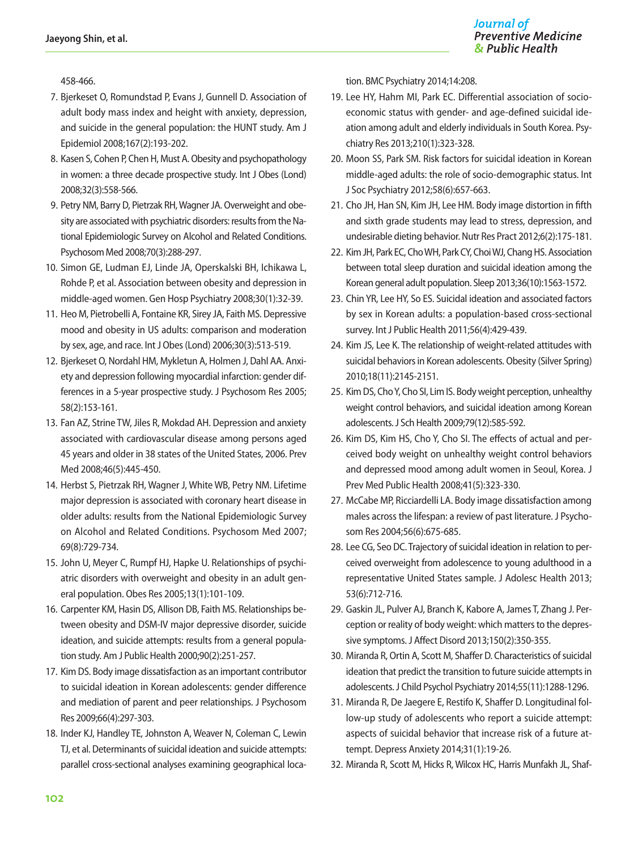458-466.

- 7. Bjerkeset O, Romundstad P, Evans J, Gunnell D. Association of adult body mass index and height with anxiety, depression, and suicide in the general population: the HUNT study. Am J Epidemiol 2008;167(2):193-202.
- 8. Kasen S, Cohen P, Chen H, Must A. Obesity and psychopathology in women: a three decade prospective study. Int J Obes (Lond) 2008;32(3):558-566.
- 9. Petry NM, Barry D, Pietrzak RH, Wagner JA. Overweight and obesity are associated with psychiatric disorders: results from the National Epidemiologic Survey on Alcohol and Related Conditions. Psychosom Med 2008;70(3):288-297.
- 10. Simon GE, Ludman EJ, Linde JA, Operskalski BH, Ichikawa L, Rohde P, et al. Association between obesity and depression in middle-aged women. Gen Hosp Psychiatry 2008;30(1):32-39.
- 11. Heo M, Pietrobelli A, Fontaine KR, Sirey JA, Faith MS. Depressive mood and obesity in US adults: comparison and moderation by sex, age, and race. Int J Obes (Lond) 2006;30(3):513-519.
- 12. Bjerkeset O, Nordahl HM, Mykletun A, Holmen J, Dahl AA. Anxiety and depression following myocardial infarction: gender differences in a 5-year prospective study. J Psychosom Res 2005; 58(2):153-161.
- 13. Fan AZ, Strine TW, Jiles R, Mokdad AH. Depression and anxiety associated with cardiovascular disease among persons aged 45 years and older in 38 states of the United States, 2006. Prev Med 2008;46(5):445-450.
- 14. Herbst S, Pietrzak RH, Wagner J, White WB, Petry NM. Lifetime major depression is associated with coronary heart disease in older adults: results from the National Epidemiologic Survey on Alcohol and Related Conditions. Psychosom Med 2007; 69(8):729-734.
- 15. John U, Meyer C, Rumpf HJ, Hapke U. Relationships of psychiatric disorders with overweight and obesity in an adult general population. Obes Res 2005;13(1):101-109.
- 16. Carpenter KM, Hasin DS, Allison DB, Faith MS. Relationships between obesity and DSM-IV major depressive disorder, suicide ideation, and suicide attempts: results from a general population study. Am J Public Health 2000;90(2):251-257.
- 17. Kim DS. Body image dissatisfaction as an important contributor to suicidal ideation in Korean adolescents: gender difference and mediation of parent and peer relationships. J Psychosom Res 2009;66(4):297-303.
- 18. Inder KJ, Handley TE, Johnston A, Weaver N, Coleman C, Lewin TJ, et al. Determinants of suicidal ideation and suicide attempts: parallel cross-sectional analyses examining geographical loca-

tion. BMC Psychiatry 2014;14:208.

- 19. Lee HY, Hahm MI, Park EC. Differential association of socioeconomic status with gender- and age-defined suicidal ideation among adult and elderly individuals in South Korea. Psychiatry Res 2013;210(1):323-328.
- 20. Moon SS, Park SM. Risk factors for suicidal ideation in Korean middle-aged adults: the role of socio-demographic status. Int J Soc Psychiatry 2012;58(6):657-663.
- 21. Cho JH, Han SN, Kim JH, Lee HM. Body image distortion in fifth and sixth grade students may lead to stress, depression, and undesirable dieting behavior. Nutr Res Pract 2012;6(2):175-181.
- 22. Kim JH, Park EC, Cho WH, Park CY, Choi WJ, Chang HS. Association between total sleep duration and suicidal ideation among the Korean general adult population. Sleep 2013;36(10):1563-1572.
- 23. Chin YR, Lee HY, So ES. Suicidal ideation and associated factors by sex in Korean adults: a population-based cross-sectional survey. Int J Public Health 2011;56(4):429-439.
- 24. Kim JS, Lee K. The relationship of weight-related attitudes with suicidal behaviors in Korean adolescents. Obesity (Silver Spring) 2010;18(11):2145-2151.
- 25. Kim DS, Cho Y, Cho SI, Lim IS. Body weight perception, unhealthy weight control behaviors, and suicidal ideation among Korean adolescents. J Sch Health 2009;79(12):585-592.
- 26. Kim DS, Kim HS, Cho Y, Cho SI. The effects of actual and perceived body weight on unhealthy weight control behaviors and depressed mood among adult women in Seoul, Korea. J Prev Med Public Health 2008;41(5):323-330.
- 27. McCabe MP, Ricciardelli LA. Body image dissatisfaction among males across the lifespan: a review of past literature. J Psychosom Res 2004;56(6):675-685.
- 28. Lee CG, Seo DC. Trajectory of suicidal ideation in relation to perceived overweight from adolescence to young adulthood in a representative United States sample. J Adolesc Health 2013; 53(6):712-716.
- 29. Gaskin JL, Pulver AJ, Branch K, Kabore A, James T, Zhang J. Perception or reality of body weight: which matters to the depressive symptoms. J Affect Disord 2013;150(2):350-355.
- 30. Miranda R, Ortin A, Scott M, Shaffer D. Characteristics of suicidal ideation that predict the transition to future suicide attempts in adolescents. J Child Psychol Psychiatry 2014;55(11):1288-1296.
- 31. Miranda R, De Jaegere E, Restifo K, Shaffer D. Longitudinal follow-up study of adolescents who report a suicide attempt: aspects of suicidal behavior that increase risk of a future attempt. Depress Anxiety 2014;31(1):19-26.
- 32. Miranda R, Scott M, Hicks R, Wilcox HC, Harris Munfakh JL, Shaf-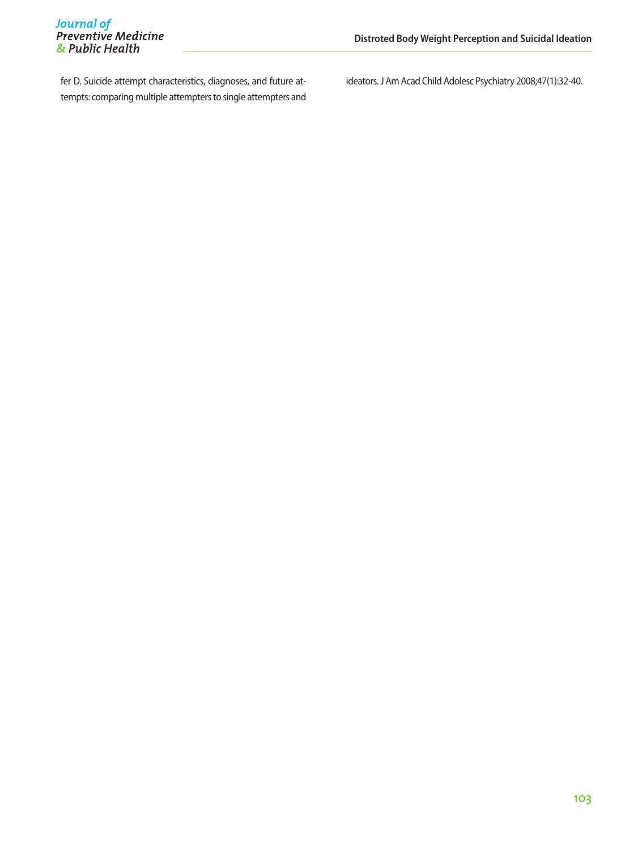fer D. Suicide attempt characteristics, diagnoses, and future attempts: comparing multiple attempters to single attempters and ideators. J Am Acad Child Adolesc Psychiatry 2008;47(1):32-40.